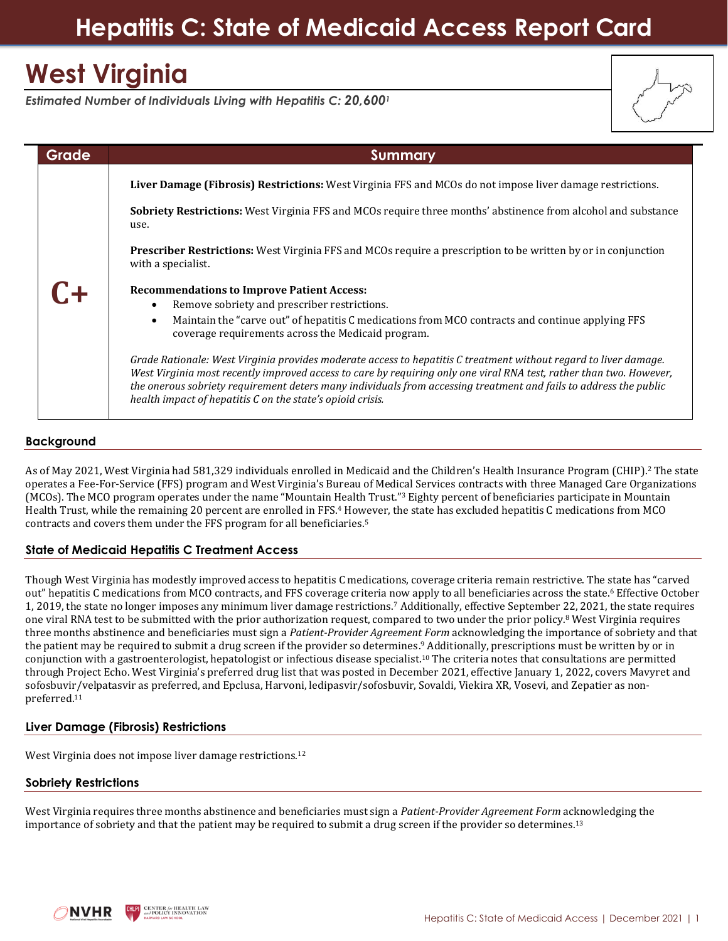## **Hepatitis C: State of Medicaid Access Report Card**

# **West Virginia**

*Estimated Number of Individuals Living with Hepatitis C: 20,600<sup>1</sup>*

| Grade | <b>Summary</b>                                                                                                                                                                                                                                                                                                                                                                                                             |  |
|-------|----------------------------------------------------------------------------------------------------------------------------------------------------------------------------------------------------------------------------------------------------------------------------------------------------------------------------------------------------------------------------------------------------------------------------|--|
|       | Liver Damage (Fibrosis) Restrictions: West Virginia FFS and MCOs do not impose liver damage restrictions.                                                                                                                                                                                                                                                                                                                  |  |
|       | <b>Sobriety Restrictions:</b> West Virginia FFS and MCOs require three months' abstinence from alcohol and substance<br>use.                                                                                                                                                                                                                                                                                               |  |
|       | <b>Prescriber Restrictions:</b> West Virginia FFS and MCOs require a prescription to be written by or in conjunction<br>with a specialist.                                                                                                                                                                                                                                                                                 |  |
| $C+$  | <b>Recommendations to Improve Patient Access:</b><br>Remove sobriety and prescriber restrictions.<br>Maintain the "carve out" of hepatitis C medications from MCO contracts and continue applying FFS<br>$\bullet$<br>coverage requirements across the Medicaid program.                                                                                                                                                   |  |
|       | Grade Rationale: West Virginia provides moderate access to hepatitis C treatment without regard to liver damage.<br>West Virginia most recently improved access to care by requiring only one viral RNA test, rather than two. However,<br>the onerous sobriety requirement deters many individuals from accessing treatment and fails to address the public<br>health impact of hepatitis C on the state's opioid crisis. |  |

### **Background**

As of May 2021, West Virginia had 581,329 individuals enrolled in Medicaid and the Children's Health Insurance Program (CHIP). <sup>2</sup> The state operates a Fee-For-Service (FFS) program and West Virginia's Bureau of Medical Services contracts with three Managed Care Organizations (MCOs). The MCO program operates under the name "Mountain Health Trust." <sup>3</sup> Eighty percent of beneficiaries participate in Mountain Health Trust, while the remaining 20 percent are enrolled in FFS.<sup>4</sup> However, the state has excluded hepatitis C medications from MCO contracts and covers them under the FFS program for all beneficiaries. 5

## **State of Medicaid Hepatitis C Treatment Access**

Though West Virginia has modestly improved access to hepatitis C medications, coverage criteria remain restrictive. The state has "carved out" hepatitis C medications from MCO contracts, and FFS coverage criteria now apply to all beneficiaries across the state.<sup>6</sup> Effective October 1, 2019, the state no longer imposes any minimum liver damage restrictions.<sup>7</sup> Additionally, effective September 22, 2021, the state requires one viral RNA test to be submitted with the prior authorization request, compared to two under the prior policy.<sup>8</sup> West Virginia requires three months abstinence and beneficiaries must sign a *Patient-Provider Agreement Form* acknowledging the importance of sobriety and that the patient may be required to submit a drug screen if the provider so determines. <sup>9</sup> Additionally, prescriptions must be written by or in conjunction with a gastroenterologist, hepatologist or infectious disease specialist.<sup>10</sup> The criteria notes that consultations are permitted through Project Echo. West Virginia's preferred drug list that was posted in December 2021, effective January 1, 2022, covers Mavyret and sofosbuvir/velpatasvir as preferred, and Epclusa, Harvoni, ledipasvir/sofosbuvir, Sovaldi, Viekira XR, Vosevi, and Zepatier as nonpreferred.<sup>11</sup>

## **Liver Damage (Fibrosis) Restrictions**

West Virginia does not impose liver damage restrictions.<sup>12</sup>

#### **Sobriety Restrictions**

West Virginia requires three months abstinence and beneficiaries must sign a *Patient-Provider Agreement Form* acknowledging the importance of sobriety and that the patient may be required to submit a drug screen if the provider so determines.13

**ENTER for HEALTH LAV**<br>PROLICY INNOVATION NVHR